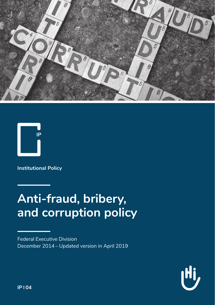



**Institutional Policy**

# **Anti-fraud, bribery, and corruption policy**

Federal Executive Division December 2014 – Updated version in April 2019

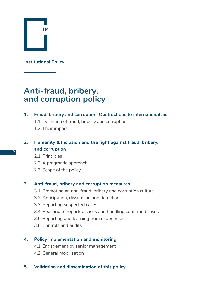

**Institutional Policy**

# **Anti-fraud, bribery, and corruption policy**

#### **1. Fraud, bribery and corruption: Obstructions to international aid**

- 1.1 Definition of fraud, bribery and corruption
- 1.2 Their impact

## **2. Humanity & Inclusion and the fight against fraud, bribery, and corruption**

- 2.1 Principles
- 2.2 A pragmatic approach
- 2.3 Scope of the policy

#### **3. Anti-fraud, bribery and corruption measures**

- 3.1 Promoting an anti-fraud, bribery and corruption culture
- 3.2 Anticipation, dissuasion and detection
- 3.3 Reporting suspected cases
- 3.4 Reacting to reported cases and handling confirmed cases
- 3.5 Reporting and learning from experience
- 3.6 Controls and audits

### **4. Policy implementation and monitoring**

- 4.1 Engagement by senior management
- 4.2 General mobilisation

#### **5. Validation and dissemination of this policy**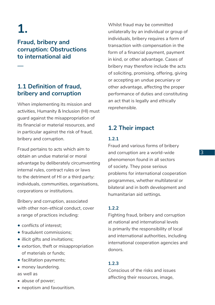# **1.**

**—** 

**Fraud, bribery and corruption: Obstructions to international aid** 

## **1.1 Definition of fraud, bribery and corruption**

When implementing its mission and activities, Humanity & Inclusion (HI) must guard against the misappropriation of its financial or material resources, and in particular against the risk of fraud, bribery and corruption.

Fraud pertains to acts which aim to obtain an undue material or moral advantage by deliberately circumventing internal rules, contract rules or laws to the detriment of HI or a third party: individuals, communities, organisations, corporations or institutions.

Bribery and corruption, associated with other non-ethical conduct, cover a range of practices including:

- conflicts of interest;
- fraudulent commissions;
- illicit gifts and invitations:
- extortion, theft or misappropriation of materials or funds;
- facilitation payments:
- money laundering. as well as
- abuse of power;
- nepotism and favouritism.

Whilst fraud may be committed unilaterally by an individual or group of individuals, bribery requires a form of transaction with compensation in the form of a financial payment, payment in kind, or other advantage. Cases of bribery may therefore include the acts of soliciting, promising, offering, giving or accepting an undue pecuniary or other advantage, affecting the proper performance of duties and constituting an act that is legally and ethically reprehensible.

## **1.2 Their impact**

#### **1.2.1**

Fraud and various forms of bribery and corruption are a world-wide phenomenon found in all sectors of society. They pose serious problems for international cooperation programmes, whether multilateral or bilateral and in both development and humanitarian aid settings.

## **1.2.2**

Fighting fraud, bribery and corruption at national and international levels is primarily the responsibility of local and international authorities, including international cooperation agencies and donors.

#### **1.2.3**

Conscious of the risks and issues affecting their resources, image,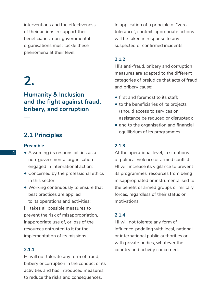interventions and the effectiveness of their actions in support their beneficiaries, non-governmental organisations must tackle these phenomena at their level.

# **2.**

**—** 

## **Humanity & Inclusion and the fight against fraud, bribery, and corruption**

## **2.1 Principles**

#### **Preamble**

- Assuming its responsibilities as a non-governmental organisation engaged in international action;
- Concerned by the professional ethics in this sector;
- Working continuously to ensure that best practices are applied to its operations and activities;

HI takes all possible measures to prevent the risk of misappropriation, inappropriate use of, or loss of the resources entrusted to it for the implementation of its missions.

## **2.1.1**

HI will not tolerate any form of fraud, bribery or corruption in the conduct of its activities and has introduced measures to reduce the risks and consequences.

In application of a principle of "zero tolerance", context-appropriate actions will be taken in response to any suspected or confirmed incidents.

## **2.1.2**

HI's anti-fraud, bribery and corruption measures are adapted to the different categories of prejudice that acts of fraud and bribery cause:

- first and foremost to its staff;
- to the beneficiaries of its projects (should access to services or assistance be reduced or disrupted);
- and to the organisation and financial equilibrium of its programmes.

### **2.1.3**

At the operational level, in situations of political violence or armed conflict, HI will increase its vigilance to prevent its programmes' resources from being misappropriated or instrumentalised to the benefit of armed groups or military forces, regardless of their status or motivations.

#### **2.1.4**

HI will not tolerate any form of influence-peddling with local, national or international public authorities or with private bodies, whatever the country and activity concerned.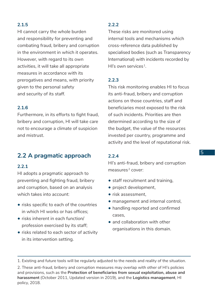## **2.1.5**

HI cannot carry the whole burden and responsibility for preventing and combating fraud, bribery and corruption in the environment in which it operates. However, with regard to its own activities, it will take all appropriate measures in accordance with its prerogatives and means, with priority given to the personal safety and security of its staff.

## **2.1.6**

Furthermore, in its efforts to fight fraud, bribery and corruption, HI will take care not to encourage a climate of suspicion and mistrust.

## **2.2 A pragmatic approach**

## **2.2.1**

HI adopts a pragmatic approach to preventing and fighting fraud, bribery and corruption, based on an analysis which takes into account:

- risks specific to each of the countries in which HI works or has offices;
- risks inherent in each function/ profession exercised by its staff;
- risks related to each sector of activity in its intervention setting.

## **2.2.2**

These risks are monitored using internal tools and mechanisms which cross-reference data published by specialised bodies (such as Transparency International) with incidents recorded by HI's own services $<sup>1</sup>$ .</sup>

#### **2.2.3**

This risk monitoring enables HI to focus its anti-fraud, bribery and corruption actions on those countries, staff and beneficiaries most exposed to the risk of such incidents. Priorities are then determined according to the size of the budget, the value of the resources invested per country, programme and activity and the level of reputational risk.

### **2.2.4**

HI's anti-fraud, bribery and corruption measures 2 cover:

- staff recruitment and training,
- project development,
- risk assessment
- management and internal control,
- handling reported and confirmed cases,
- and collaboration with other organisations in this domain.

<sup>1.</sup> Existing and future tools will be regularly adjusted to the needs and reality of the situation.

<sup>2.</sup> These anti-fraud, bribery and corruption measures may overlap with other of HI's policies and provisions, such as the **Protection of beneficiaries from sexual exploitation, abuse and harassment** (October 2011, Updated version in 2019), and the **Logistics management**, HI policy, 2018.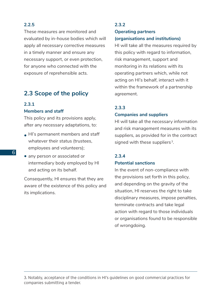## **2.2.5**

These measures are monitored and evaluated by in-house bodies which will apply all necessary corrective measures in a timely manner and ensure any necessary support, or even protection, for anyone who connected with the exposure of reprehensible acts.

## **2.3 Scope of the policy**

## **2.3.1**

#### **Members and staff**

This policy and its provisions apply, after any necessary adaptations, to:

- HI's permanent members and staff whatever their status (trustees, employees and volunteers);
- any person or associated or intermediary body employed by HI and acting on its behalf.

Consequently, HI ensures that they are aware of the existence of this policy and its implications.

#### **2.3.2**

### **Operating partners (organisations and institutions)**

HI will take all the measures required by this policy with regard to information, risk management, support and monitoring in its relations with its operating partners which, while not acting on HI's behalf, interact with it within the framework of a partnership agreement.

#### **2.3.3**

#### **Companies and suppliers**

HI will take all the necessary information and risk management measures with its suppliers, as provided for in the contract signed with these suppliers<sup>3</sup>.

## **2.3.4**

#### **Potential sanctions**

In the event of non-compliance with the provisions set forth in this policy, and depending on the gravity of the situation, HI reserves the right to take disciplinary measures, impose penalties, terminate contracts and take legal action with regard to those individuals or organisations found to be responsible of wrongdoing.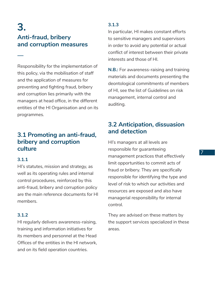## **3. Anti-fraud, bribery and corruption measures**

Responsibility for the implementation of this policy, via the mobilisation of staff and the application of measures for preventing and fighting fraud, bribery and corruption lies primarily with the managers at head office, in the different entities of the HI Organisation and on its programmes.

## **3.1 Promoting an anti-fraud, bribery and corruption culture**

## **3.1.1**

**—** 

HI's statutes, mission and strategy, as well as its operating rules and internal control procedures, reinforced by this anti-fraud, bribery and corruption policy are the main reference documents for HI members.

## **3.1.2**

HI regularly delivers awareness-raising, training and information initiatives for its members and personnel at the Head Offices of the entities in the HI network, and on its field operation countries.

## **3.1.3**

In particular, HI makes constant efforts to sensitive managers and supervisors in order to avoid any potential or actual conflict of interest between their private interests and those of HI.

**N.B.:** For awareness-raising and training materials and documents presenting the deontological commitments of members of HI, see the list of Guidelines on risk management, internal control and auditing.

## **3.2 Anticipation, dissuasion and detection**

HI's managers at all levels are responsible for guaranteeing management practices that effectively limit opportunities to commit acts of fraud or bribery. They are specifically responsible for identifying the type and level of risk to which our activities and resources are exposed and also have managerial responsibility for internal control.

They are advised on these matters by the support services specialized in these areas.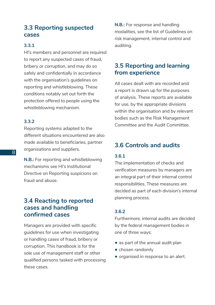## **3.3 Reporting suspected cases**

## **3.3.1**

HI's members and personnel are required to report any suspected cases of fraud, bribery or corruption, and may do so safely and confidentially in accordance with the organisation's guidelines on reporting and whistleblowing. These conditions notably set out forth the protection offered to people using the whistleblowing mechanism.

## **3.3.2**

Reporting systems adapted to the different situations encountered are also made available to beneficiaries, partner organisations and suppliers.

**N.B.:** For reporting and whistleblowing mechanisms see HI's Institutional Directive on Reporting suspicions on fraud and abuse.

## **3.4 Reacting to reported cases and handling confirmed cases**

Managers are provided with specific guidelines for use when investigating or handling cases of fraud, bribery or corruption. This handbook is for the sole use of management staff or other qualified persons tasked with processing these cases.

**N.B.:** For response and handling modalities, see the list of Guidelines on risk management, internal control and auditing.

## **3.5 Reporting and learning from experience**

All cases dealt with are recorded and a report is drawn up for the purposes of analysis. These reports are available for use, by the appropriate divisions within the organisation and by relevant bodies such as the Risk Management Committee and the Audit Committee.

## **3.6 Controls and audits**

## **3.6.1**

The implementation of checks and verification measures by managers are an integral part of their internal control responsibilities. These measures are decided as part of each division's internal planning process.

## **3.6.2**

Furthermore, internal audits are decided by the federal management bodies in one of three ways:

- as part of the annual audit plan
- chosen randomly
- organised in response to an alert.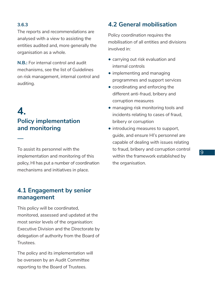**3.6.3**

**—** 

The reports and recommendations are analysed with a view to assisting the entities audited and, more generally the organisation as a whole.

**N.B.:** For internal control and audit mechanisms, see the list of Guidelines on risk management, internal control and auditing.

## **4. Policy implementation and monitoring**

To assist its personnel with the implementation and monitoring of this policy, HI has put a number of coordination mechanisms and initiatives in place.

## **4.1 Engagement by senior management**

This policy will be coordinated, monitored, assessed and updated at the most senior levels of the organisation: Executive Division and the Directorate by delegation of authority from the Board of Trustees.

The policy and its implementation will be overseen by an Audit Committee reporting to the Board of Trustees.

## **4.2 General mobilisation**

Policy coordination requires the mobilisation of all entities and divisions involved in:

- carrying out risk evaluation and internal controls
- implementing and managing programmes and support services
- coordinating and enforcing the different anti-fraud, bribery and corruption measures
- managing risk monitoring tools and incidents relating to cases of fraud, bribery or corruption
- introducing measures to support, guide, and ensure HI's personnel are capable of dealing with issues relating to fraud, bribery and corruption control within the framework established by the organisation.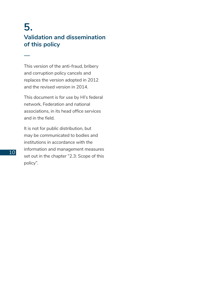## **5. Validation and dissemination of this policy**

This version of the anti-fraud, bribery and corruption policy cancels and replaces the version adopted in 2012 and the revised version in 2014.

This document is for use by HI's federal network, Federation and national associations, in its head office services and in the field.

It is not for public distribution, but may be communicated to bodies and institutions in accordance with the information and management measures set out in the chapter "2.3: Scope of this policy".

**—**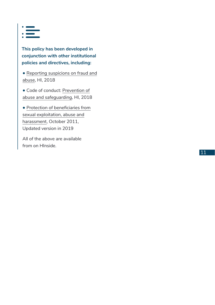

**This policy has been developed in conjunction with other institutional policies and directives, including:**

• [Reporting suspicions on fraud and](https://hinside.hi.org/intranet/front/publicDownload.jsp?docId=prod_2221878&authKey=cHJvZF8yMDA1OTAwOjE1NjMxMDc3MTMxNjk6JDJhJDA0JGd2d0cxVmt0MWI4U05WSWpYdDNTQnVmL2VvQlhWSlJqY3JwLk9wVHVzQ3ZSOWE2STBRejlx) [abuse](https://hinside.hi.org/intranet/front/publicDownload.jsp?docId=prod_2221878&authKey=cHJvZF8yMDA1OTAwOjE1NjMxMDc3MTMxNjk6JDJhJDA0JGd2d0cxVmt0MWI4U05WSWpYdDNTQnVmL2VvQlhWSlJqY3JwLk9wVHVzQ3ZSOWE2STBRejlx), HI, 2018

• Code of conduct: [Prevention of](https://hinside.hi.org/intranet/front/publicDownload.jsp?docId=prod_2152933&authKey=cHJvZF8yMDA1OTAwOjE1NjMxMDc5NDg0NjM6JDJhJDA0JE1tenhuNGlyU2xQZ3NpekhrWHZsaS5vL2d0S0drbmZTbFNuVzVlSmlGSmhoWTFnUGJqeEh1) [abuse and safeguarding](https://hinside.hi.org/intranet/front/publicDownload.jsp?docId=prod_2152933&authKey=cHJvZF8yMDA1OTAwOjE1NjMxMDc5NDg0NjM6JDJhJDA0JE1tenhuNGlyU2xQZ3NpekhrWHZsaS5vL2d0S0drbmZTbFNuVzVlSmlGSmhoWTFnUGJqeEh1), HI, 2018

• [Protection of beneficiaries from](https://hinside.hi.org/intranet/front/publicDownload.jsp?docId=prod_2162566&authKey=cHJvZF8yMDA1OTAwOjE1NjMxMDgxMDMyNTA6JDJhJDA0JHQ5QkhyRXZTb1VRb0V0cGlrY3pCUHU4RGZLQm9vcnFKZm1acHVPQ1dubUZFU3d0akpjQVNt) [sexual exploitation, abuse and](https://hinside.hi.org/intranet/front/publicDownload.jsp?docId=prod_2162566&authKey=cHJvZF8yMDA1OTAwOjE1NjMxMDgxMDMyNTA6JDJhJDA0JHQ5QkhyRXZTb1VRb0V0cGlrY3pCUHU4RGZLQm9vcnFKZm1acHVPQ1dubUZFU3d0akpjQVNt) [harassment](https://hinside.hi.org/intranet/front/publicDownload.jsp?docId=prod_2162566&authKey=cHJvZF8yMDA1OTAwOjE1NjMxMDgxMDMyNTA6JDJhJDA0JHQ5QkhyRXZTb1VRb0V0cGlrY3pCUHU4RGZLQm9vcnFKZm1acHVPQ1dubUZFU3d0akpjQVNt), October 2011, Updated version in 2019

All of the above are available from on HInside.